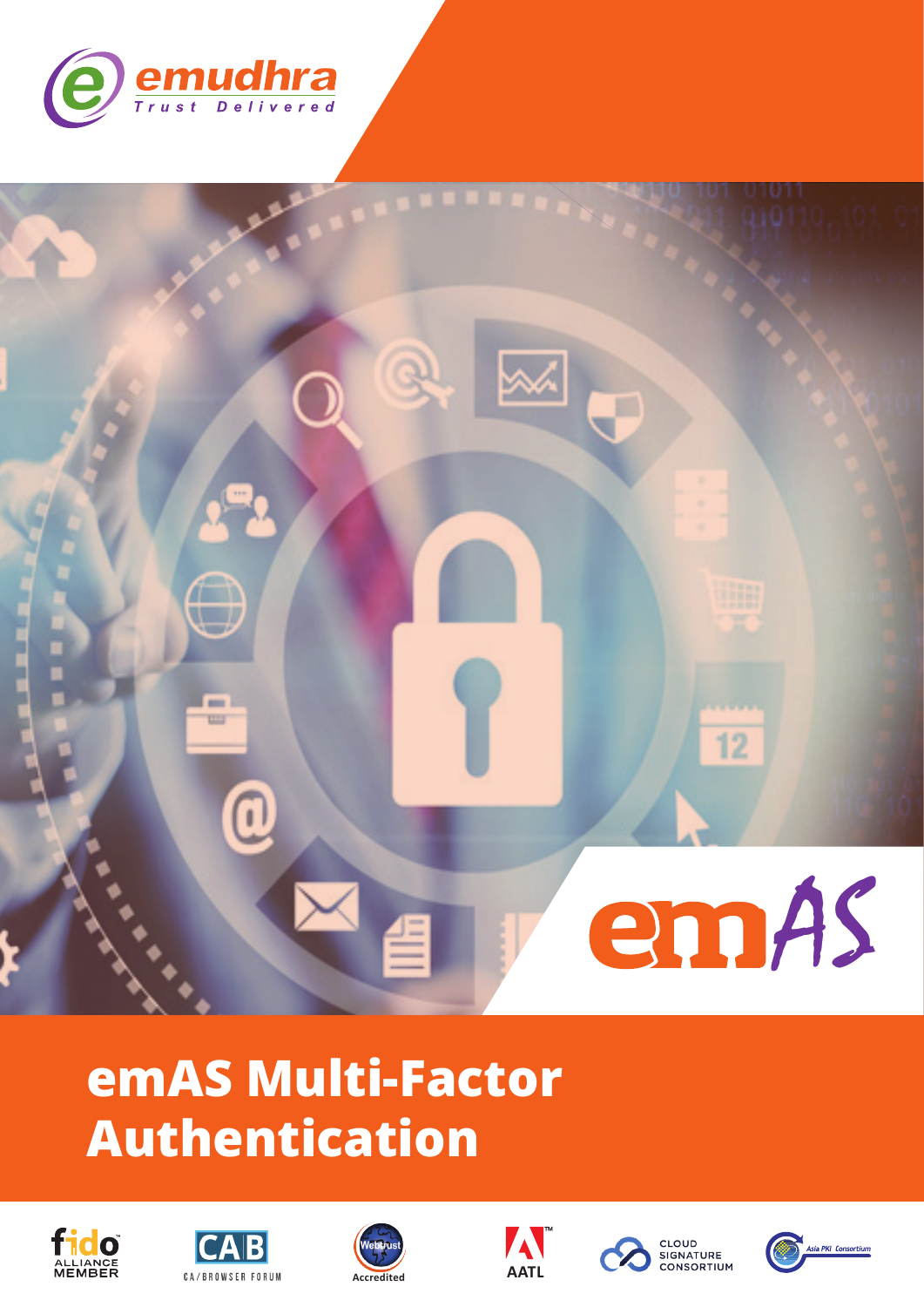



# emAS Multi-Factor **Authentication**











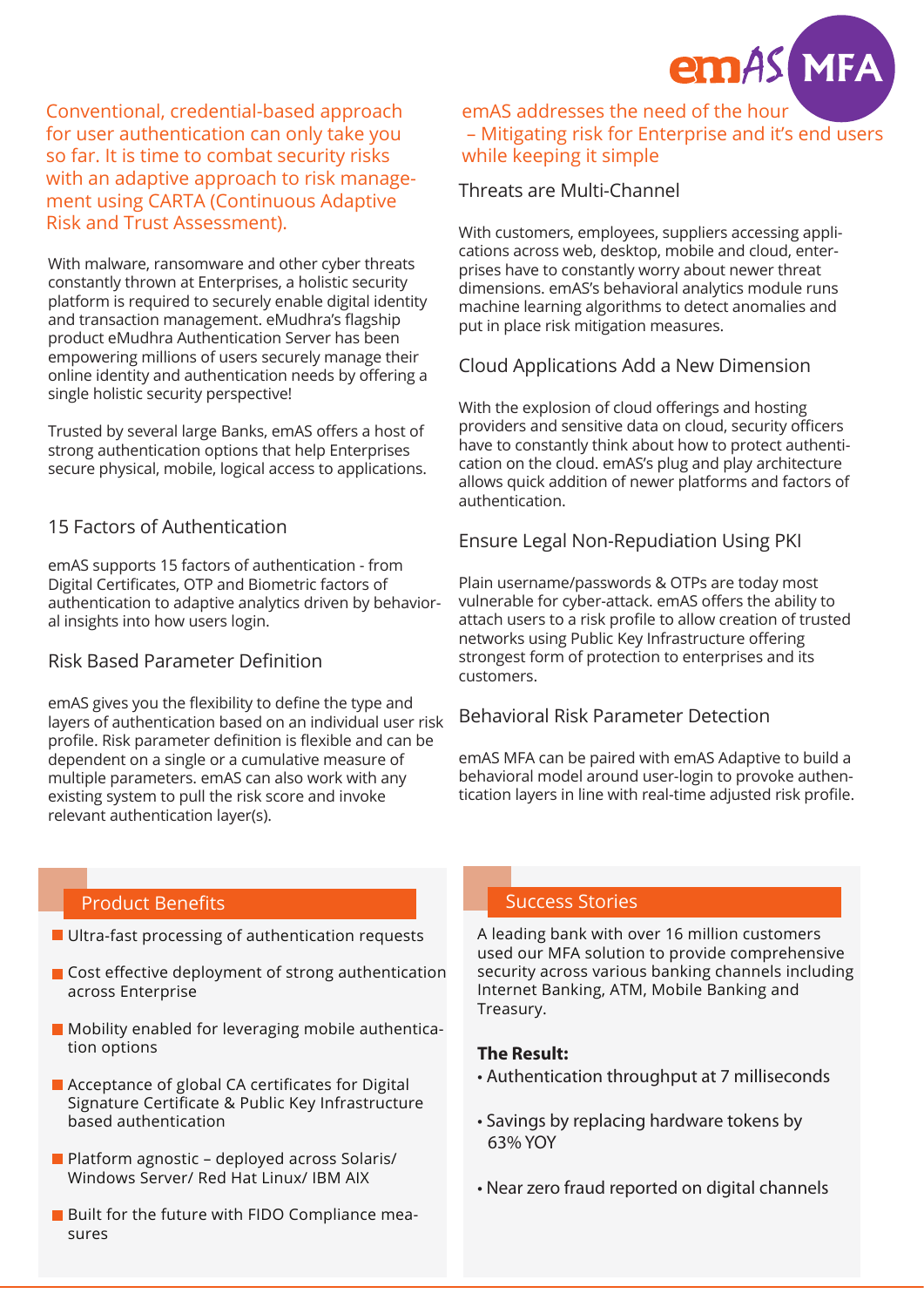

Conventional, credential-based approach for user authentication can only take you so far. It is time to combat security risks with an adaptive approach to risk management using CARTA (Continuous Adaptive Risk and Trust Assessment).

With malware, ransomware and other cyber threats constantly thrown at Enterprises, a holistic security platform is required to securely enable digital identity and transaction management. eMudhra's flagship product eMudhra Authentication Server has been empowering millions of users securely manage their online identity and authentication needs by offering a single holistic security perspective!

Trusted by several large Banks, emAS offers a host of strong authentication options that help Enterprises secure physical, mobile, logical access to applications.

### 15 Factors of Authentication

emAS supports 15 factors of authentication - from Digital Certificates, OTP and Biometric factors of authentication to adaptive analytics driven by behavioral insights into how users login.

### Risk Based Parameter Definition

emAS gives you the flexibility to define the type and layers of authentication based on an individual user risk profile. Risk parameter definition is flexible and can be dependent on a single or a cumulative measure of multiple parameters. emAS can also work with any existing system to pull the risk score and invoke relevant authentication layer(s).

### emAS addresses the need of the hour – Mitigating risk for Enterprise and it's end users while keeping it simple

### Threats are Multi-Channel

With customers, employees, suppliers accessing applications across web, desktop, mobile and cloud, enterprises have to constantly worry about newer threat dimensions. emAS's behavioral analytics module runs machine learning algorithms to detect anomalies and put in place risk mitigation measures.

### Cloud Applications Add a New Dimension

With the explosion of cloud offerings and hosting providers and sensitive data on cloud, security officers have to constantly think about how to protect authentication on the cloud. emAS's plug and play architecture allows quick addition of newer platforms and factors of authentication.

### Ensure Legal Non-Repudiation Using PKI

Plain username/passwords & OTPs are today most vulnerable for cyber-attack. emAS offers the ability to attach users to a risk profile to allow creation of trusted networks using Public Key Infrastructure offering strongest form of protection to enterprises and its customers.

### Behavioral Risk Parameter Detection

emAS MFA can be paired with emAS Adaptive to build a behavioral model around user-login to provoke authentication layers in line with real-time adjusted risk profile.

### Product Benefits Success Stories and Success Stories

- **Ultra-fast processing of authentication requests**
- Cost effective deployment of strong authentication across Enterprise
- **Mobility enabled for leveraging mobile authentica**tion options
- Acceptance of global CA certificates for Digital Signature Certificate & Public Key Infrastructure based authentication
- **Platform agnostic deployed across Solaris/** Windows Server/ Red Hat Linux/ IBM AIX
- **Built for the future with FIDO Compliance mea**sures

A leading bank with over 16 million customers used our MFA solution to provide comprehensive security across various banking channels including Internet Banking, ATM, Mobile Banking and Treasury.

### **The Result:**

- Authentication throughput at 7 milliseconds
- Savings by replacing hardware tokens by 63% YOY
- Near zero fraud reported on digital channels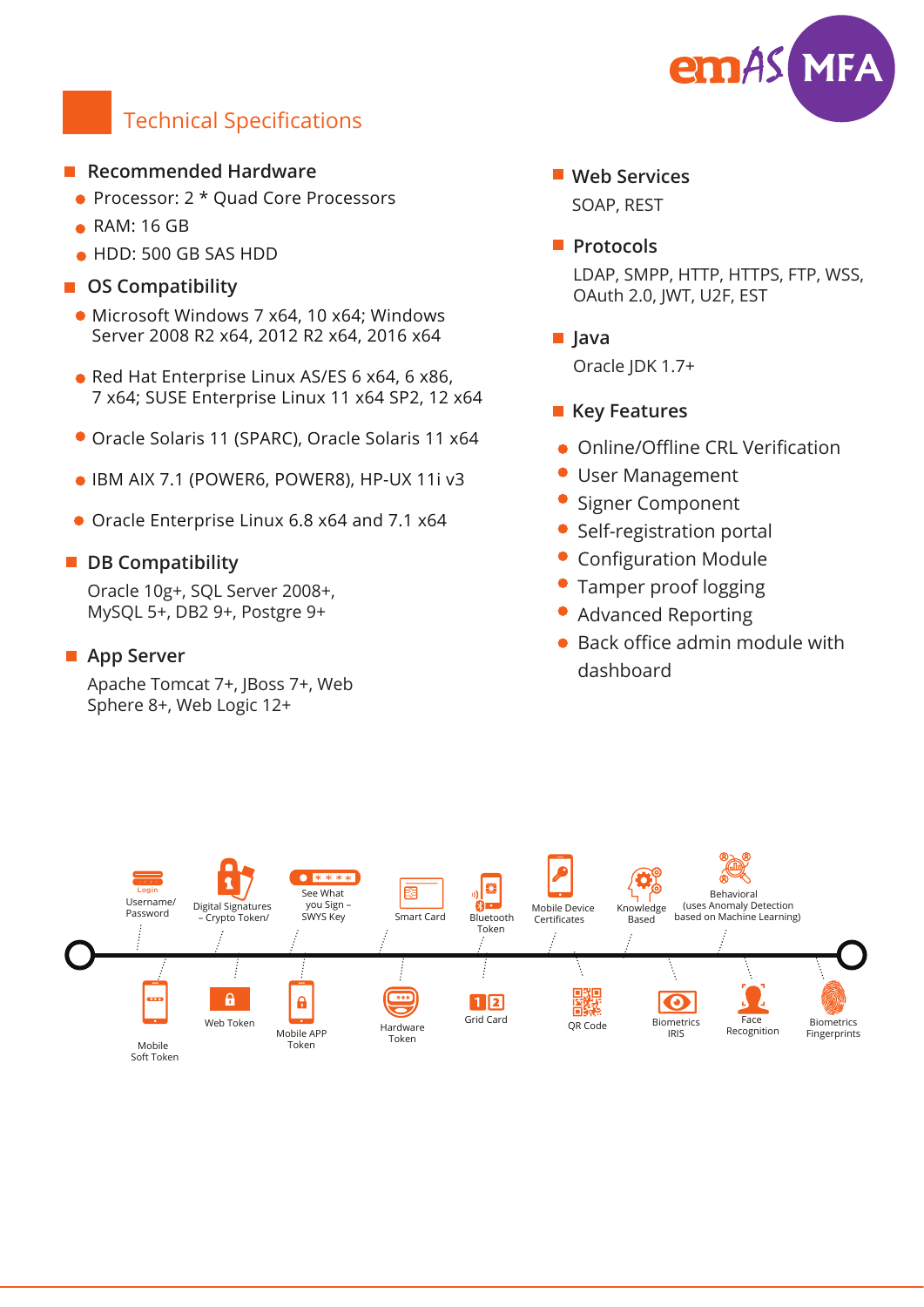

# Technical Specifications

### **Recommended Hardware**

- Processor: 2 \* Quad Core Processors
- RAM: 16 GB
- HDD: 500 GB SAS HDD
- **OS Compatibility** 
	- Microsoft Windows 7 x64, 10 x64; Windows Server 2008 R2 x64, 2012 R2 x64, 2016 x64
	- Red Hat Enterprise Linux AS/ES 6 x64, 6 x86, 7 x64; SUSE Enterprise Linux 11 x64 SP2, 12 x64
	- Oracle Solaris 11 (SPARC), Oracle Solaris 11 x64
	- IBM AIX 7.1 (POWER6, POWER8), HP-UX 11i v3
	- Oracle Enterprise Linux 6.8 x64 and 7.1 x64

### **DB Compatibility**

Oracle 10g+, SQL Server 2008+, MySQL 5+, DB2 9+, Postgre 9+

### ■ App Server

Apache Tomcat 7+, JBoss 7+, Web Sphere 8+, Web Logic 12+

### **Web Services**

SOAP, REST

**Protocols** 

LDAP, SMPP, HTTP, HTTPS, FTP, WSS, OAuth 2.0, JWT, U2F, EST

**Java**

Oracle JDK 1.7+

### **Key Features**

- **Online/Offline CRL Verification**
- User Management
- $\bullet$ Signer Component
- Self-registration portal
- Configuration Module
- Tamper proof logging
- Advanced Reporting
- Back office admin module with dashboard